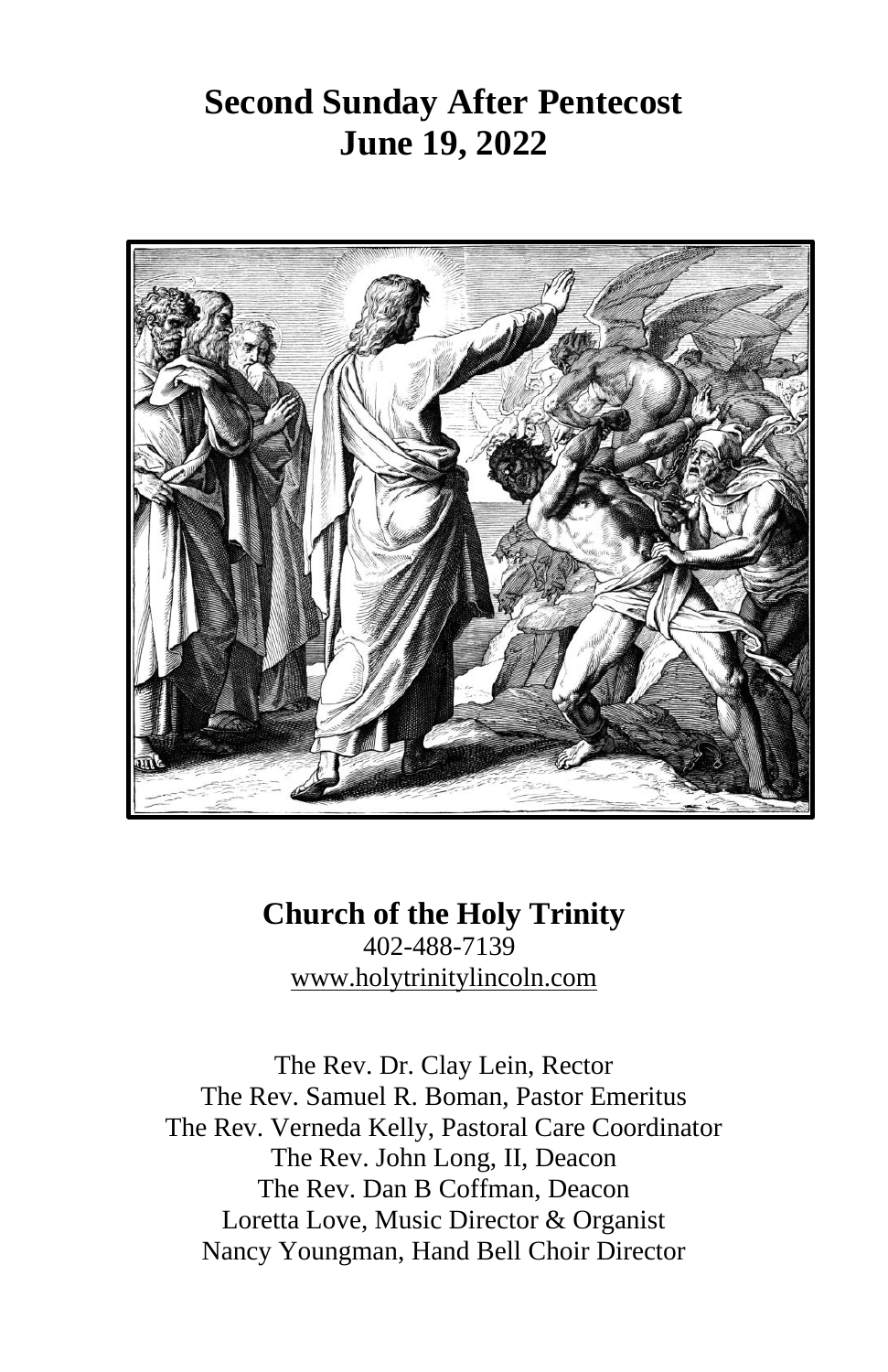## **Second Sunday After Pentecost June 19, 2022**



**Church of the Holy Trinity** 402-488-7139 [www.holytrinitylincoln.com](http://www.holytrinitylincoln.com/)

The Rev. Dr. Clay Lein, Rector The Rev. Samuel R. Boman, Pastor Emeritus The Rev. Verneda Kelly, Pastoral Care Coordinator The Rev. John Long, II, Deacon The Rev. Dan B Coffman, Deacon Loretta Love, Music Director & Organist Nancy Youngman, Hand Bell Choir Director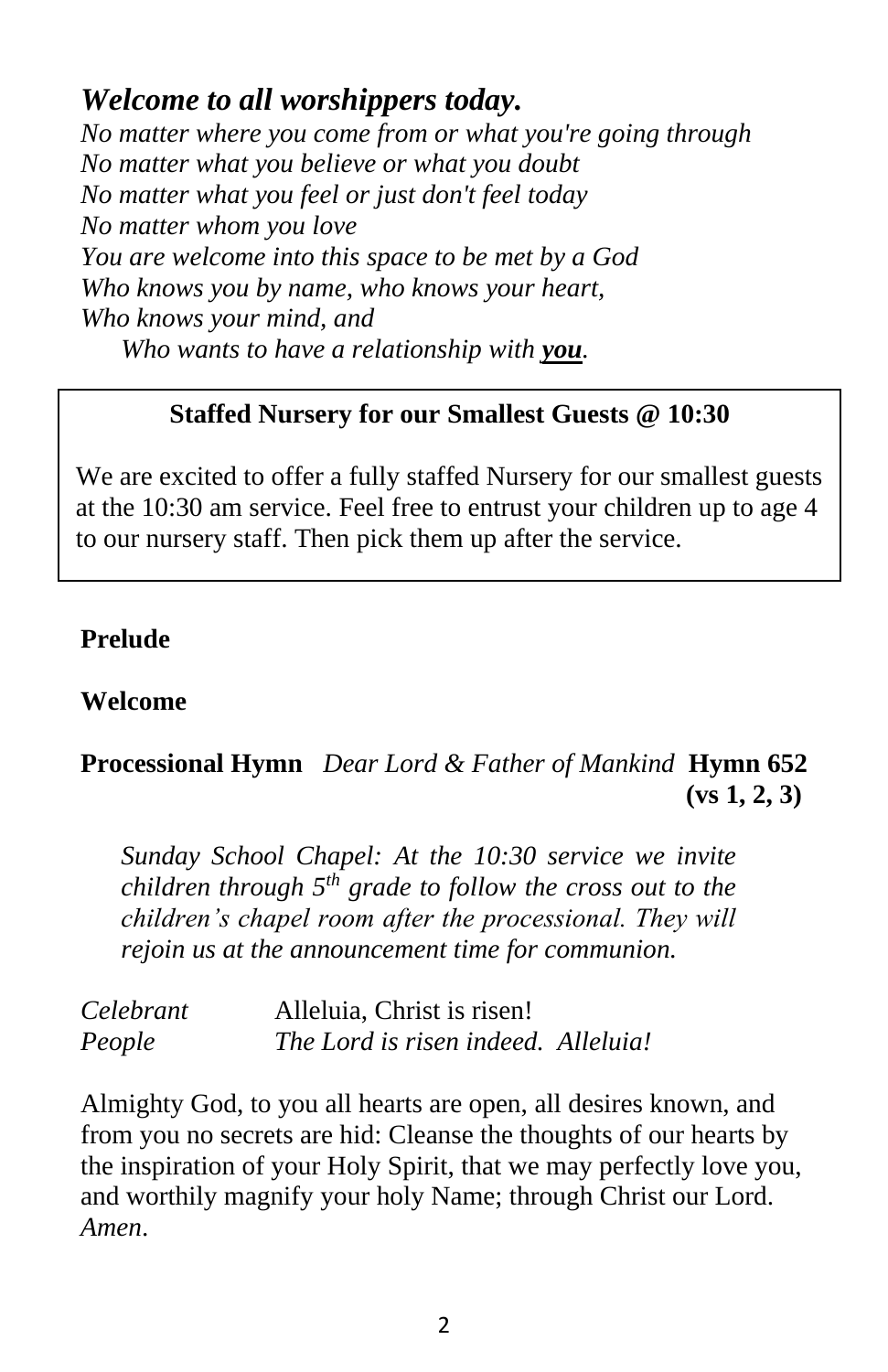### *Welcome to all worshippers today.*

*No matter where you come from or what you're going through No matter what you believe or what you doubt No matter what you feel or just don't feel today No matter whom you love You are welcome into this space to be met by a God Who knows you by name, who knows your heart, Who knows your mind, and Who wants to have a relationship with you.*

#### **Staffed Nursery for our Smallest Guests @ 10:30**

We are excited to offer a fully staffed Nursery for our smallest guests at the 10:30 am service. Feel free to entrust your children up to age 4 to our nursery staff. Then pick them up after the service.

#### **Prelude**

#### **Welcome**

#### **Processional Hymn** *Dear Lord & Father of Mankind* **Hymn 652 (vs 1, 2, 3)**

*Sunday School Chapel: At the 10:30 service we invite children through 5th grade to follow the cross out to the children's chapel room after the processional. They will rejoin us at the announcement time for communion.*

| Celebrant | Alleluia, Christ is risen!          |  |
|-----------|-------------------------------------|--|
| People    | The Lord is risen indeed. Alleluia! |  |

Almighty God, to you all hearts are open, all desires known, and from you no secrets are hid: Cleanse the thoughts of our hearts by the inspiration of your Holy Spirit, that we may perfectly love you, and worthily magnify your holy Name; through Christ our Lord. *Amen*.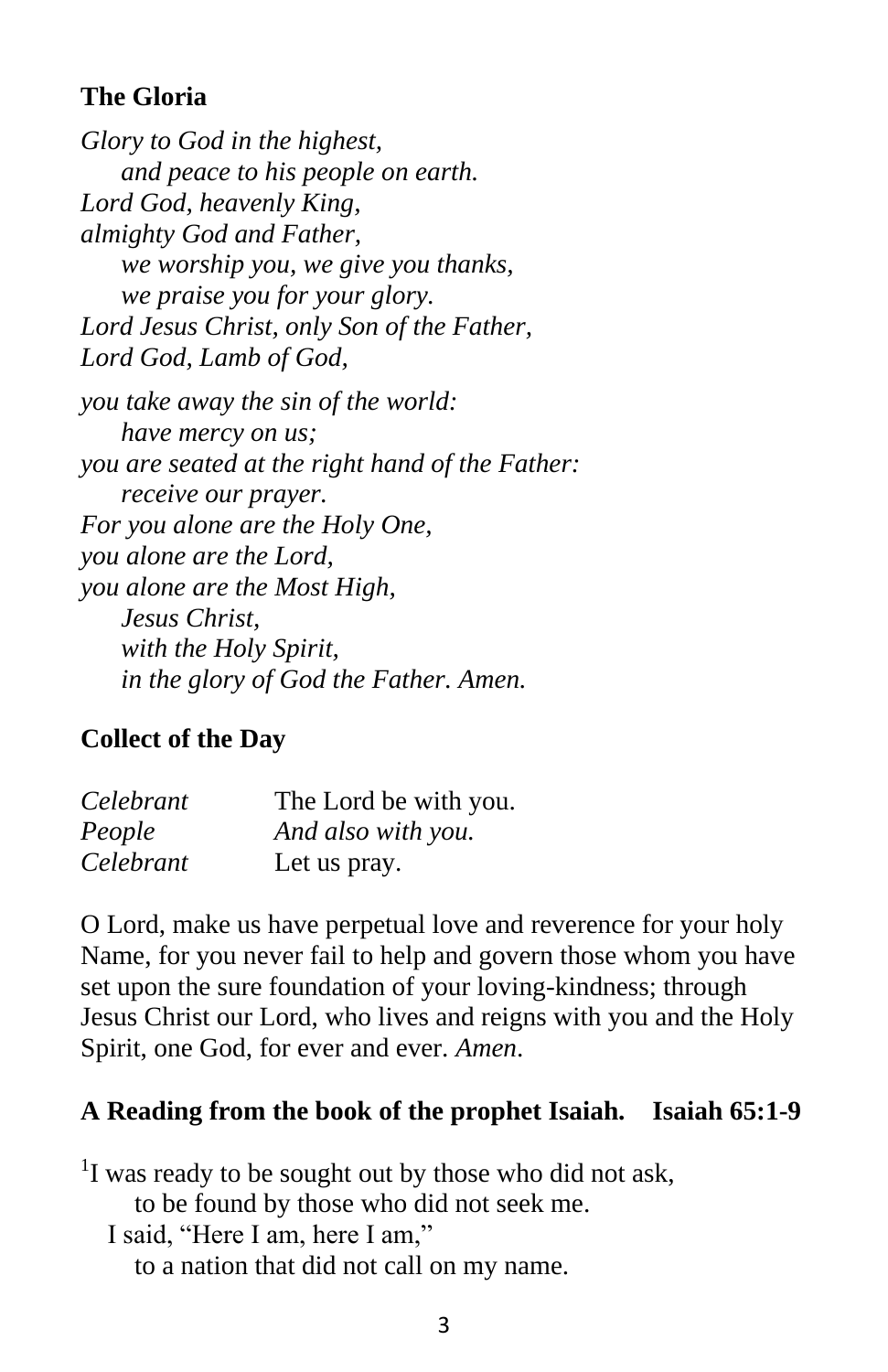#### **The Gloria**

*Glory to God in the highest, and peace to his people on earth. Lord God, heavenly King, almighty God and Father, we worship you, we give you thanks, we praise you for your glory. Lord Jesus Christ, only Son of the Father, Lord God, Lamb of God, you take away the sin of the world: have mercy on us; you are seated at the right hand of the Father: receive our prayer. For you alone are the Holy One, you alone are the Lord, you alone are the Most High, Jesus Christ, with the Holy Spirit, in the glory of God the Father. Amen.*

#### **Collect of the Day**

| Celebrant | The Lord be with you. |
|-----------|-----------------------|
| People    | And also with you.    |
| Celebrant | Let us pray.          |

O Lord, make us have perpetual love and reverence for your holy Name, for you never fail to help and govern those whom you have set upon the sure foundation of your loving-kindness; through Jesus Christ our Lord, who lives and reigns with you and the Holy Spirit, one God, for ever and ever. *Amen*.

#### **A Reading from the book of the prophet Isaiah. Isaiah 65:1-9**

 $1$ I was ready to be sought out by those who did not ask, to be found by those who did not seek me. I said, "Here I am, here I am," to a nation that did not call on my name.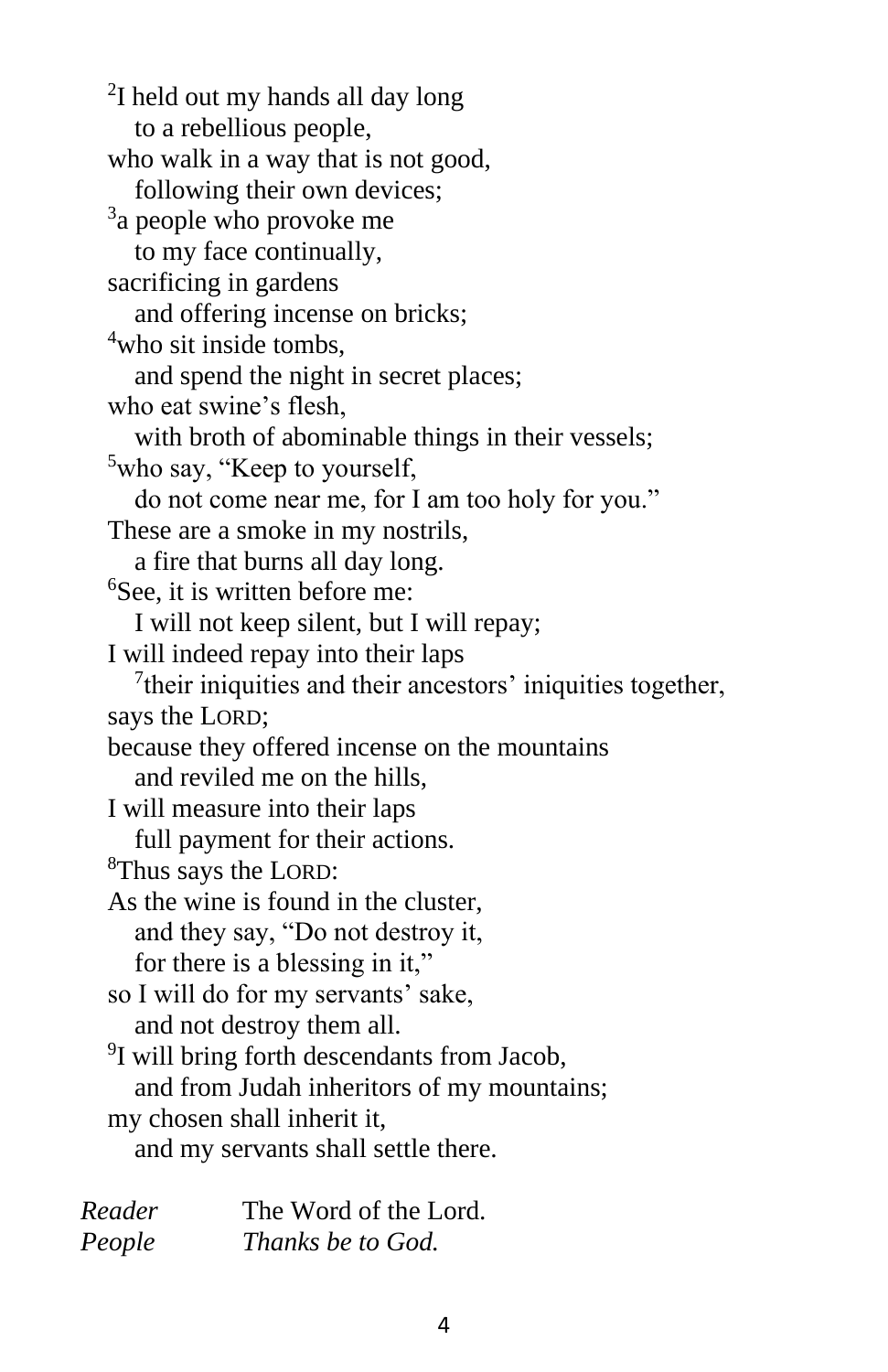<sup>2</sup>I held out my hands all day long to a rebellious people, who walk in a way that is not good, following their own devices; <sup>3</sup>a people who provoke me to my face continually, sacrificing in gardens and offering incense on bricks; <sup>4</sup>who sit inside tombs, and spend the night in secret places; who eat swine's flesh, with broth of abominable things in their vessels; <sup>5</sup>who say, "Keep to yourself, do not come near me, for I am too holy for you." These are a smoke in my nostrils, a fire that burns all day long. <sup>6</sup>See, it is written before me: I will not keep silent, but I will repay; I will indeed repay into their laps  $7$ their iniquities and their ancestors' iniquities together, says the LORD; because they offered incense on the mountains and reviled me on the hills, I will measure into their laps full payment for their actions. <sup>8</sup>Thus says the LORD: As the wine is found in the cluster, and they say, "Do not destroy it, for there is a blessing in it," so I will do for my servants' sake, and not destroy them all. <sup>9</sup>I will bring forth descendants from Jacob, and from Judah inheritors of my mountains; my chosen shall inherit it, and my servants shall settle there.

| Reader | The Word of the Lord. |
|--------|-----------------------|
| People | Thanks be to God.     |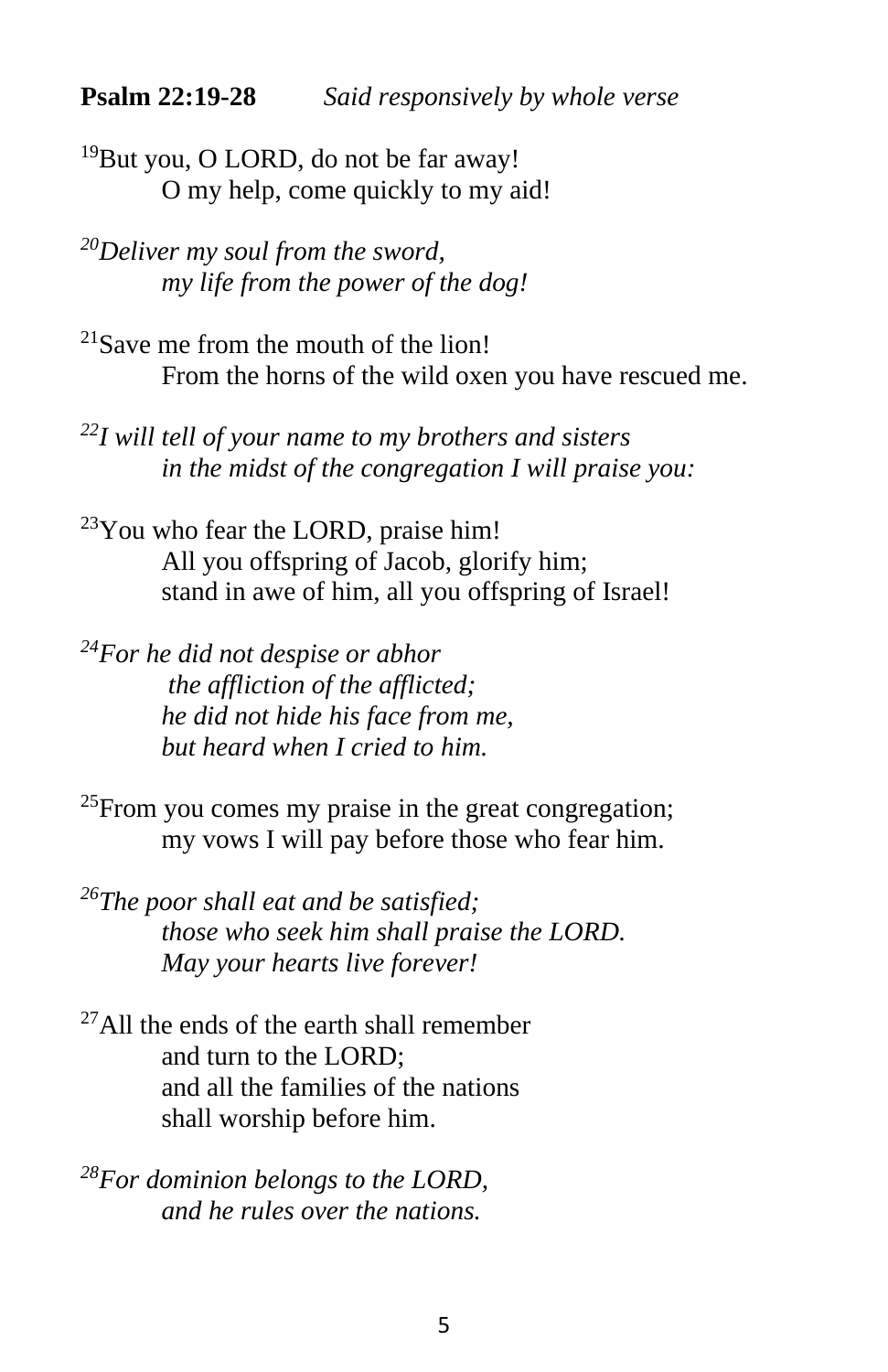<sup>19</sup>But you, O LORD, do not be far away! O my help, come quickly to my aid!

*<sup>20</sup>Deliver my soul from the sword, my life from the power of the dog!*

 $21$ Save me from the mouth of the lion! From the horns of the wild oxen you have rescued me.

*<sup>22</sup>I will tell of your name to my brothers and sisters in the midst of the congregation I will praise you:*

 $23$ You who fear the LORD, praise him! All you offspring of Jacob, glorify him; stand in awe of him, all you offspring of Israel!

*<sup>24</sup>For he did not despise or abhor the affliction of the afflicted; he did not hide his face from me, but heard when I cried to him.*

 $^{25}$ From you comes my praise in the great congregation; my vows I will pay before those who fear him.

*<sup>26</sup>The poor shall eat and be satisfied; those who seek him shall praise the LORD. May your hearts live forever!*

 $^{27}$ All the ends of the earth shall remember and turn to the LORD; and all the families of the nations shall worship before him.

*<sup>28</sup>For dominion belongs to the LORD, and he rules over the nations.*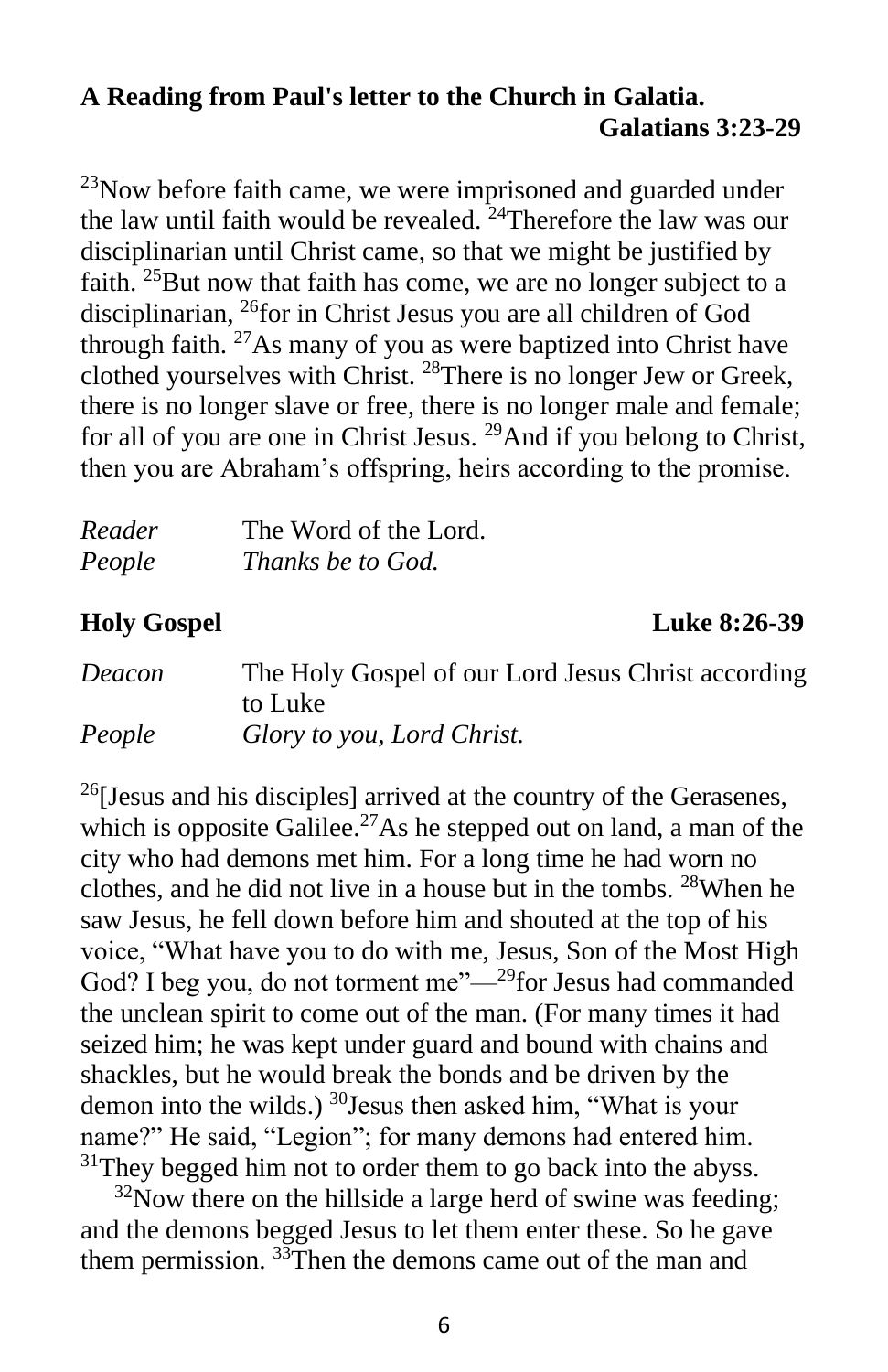#### **A Reading from Paul's letter to the Church in Galatia. Galatians 3:23-29**

 $^{23}$ Now before faith came, we were imprisoned and guarded under the law until faith would be revealed.  $24$ Therefore the law was our disciplinarian until Christ came, so that we might be justified by faith.  $25$ But now that faith has come, we are no longer subject to a disciplinarian, <sup>26</sup>for in Christ Jesus you are all children of God through faith.  $27\text{As}$  many of you as were baptized into Christ have clothed yourselves with Christ. <sup>28</sup>There is no longer Jew or Greek, there is no longer slave or free, there is no longer male and female; for all of you are one in Christ Jesus. <sup>29</sup>And if you belong to Christ, then you are Abraham's offspring, heirs according to the promise.

| Reader | The Word of the Lord. |
|--------|-----------------------|
| People | Thanks be to God.     |

#### **Holy Gospel Luke 8:26-39**

| Deacon | The Holy Gospel of our Lord Jesus Christ according |
|--------|----------------------------------------------------|
|        | to Luke                                            |
| People | Glory to you, Lord Christ.                         |

 $^{26}$ [Jesus and his disciples] arrived at the country of the Gerasenes, which is opposite Galilee.<sup>27</sup>As he stepped out on land, a man of the city who had demons met him. For a long time he had worn no clothes, and he did not live in a house but in the tombs. <sup>28</sup>When he saw Jesus, he fell down before him and shouted at the top of his voice, "What have you to do with me, Jesus, Son of the Most High God? I beg you, do not torment me"—<sup>29</sup>for Jesus had commanded the unclean spirit to come out of the man. (For many times it had seized him; he was kept under guard and bound with chains and shackles, but he would break the bonds and be driven by the demon into the wilds.)  $30$  Jesus then asked him, "What is your name?" He said, "Legion"; for many demons had entered him.  $31$ They begged him not to order them to go back into the abyss.

 $32$ Now there on the hillside a large herd of swine was feeding; and the demons begged Jesus to let them enter these. So he gave them permission. <sup>33</sup>Then the demons came out of the man and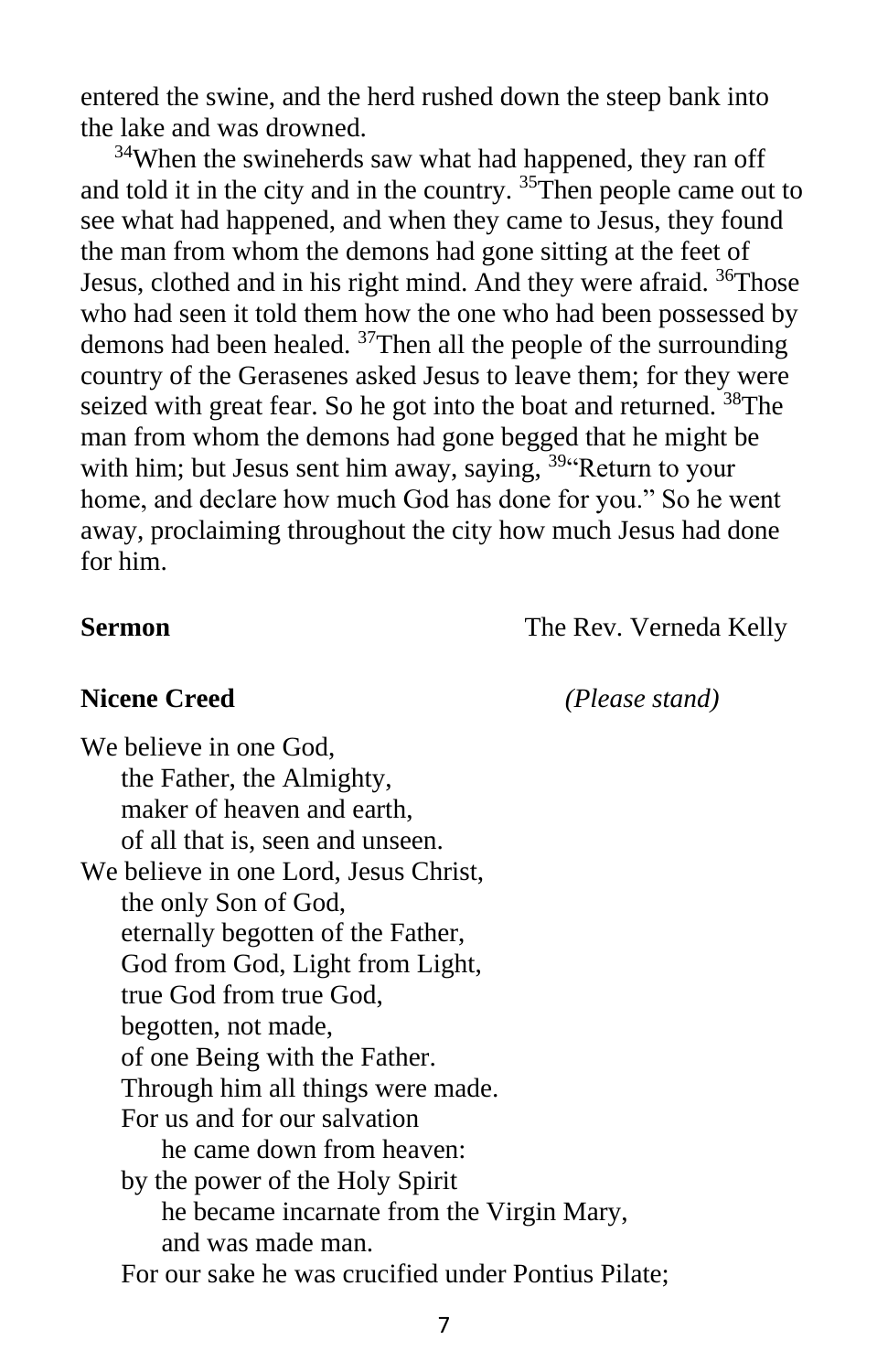entered the swine, and the herd rushed down the steep bank into the lake and was drowned.

 $34$ When the swineherds saw what had happened, they ran off and told it in the city and in the country. <sup>35</sup>Then people came out to see what had happened, and when they came to Jesus, they found the man from whom the demons had gone sitting at the feet of Jesus, clothed and in his right mind. And they were afraid. <sup>36</sup>Those who had seen it told them how the one who had been possessed by demons had been healed. <sup>37</sup>Then all the people of the surrounding country of the Gerasenes asked Jesus to leave them; for they were seized with great fear. So he got into the boat and returned. <sup>38</sup>The man from whom the demons had gone begged that he might be with him; but Jesus sent him away, saying, <sup>39</sup> Return to your home, and declare how much God has done for you." So he went away, proclaiming throughout the city how much Jesus had done for him.

**Sermon** The Rev. Verneda Kelly

**Nicene Creed** *(Please stand)*

We believe in one God, the Father, the Almighty, maker of heaven and earth, of all that is, seen and unseen. We believe in one Lord, Jesus Christ, the only Son of God, eternally begotten of the Father, God from God, Light from Light, true God from true God, begotten, not made, of one Being with the Father. Through him all things were made. For us and for our salvation he came down from heaven: by the power of the Holy Spirit he became incarnate from the Virgin Mary, and was made man. For our sake he was crucified under Pontius Pilate;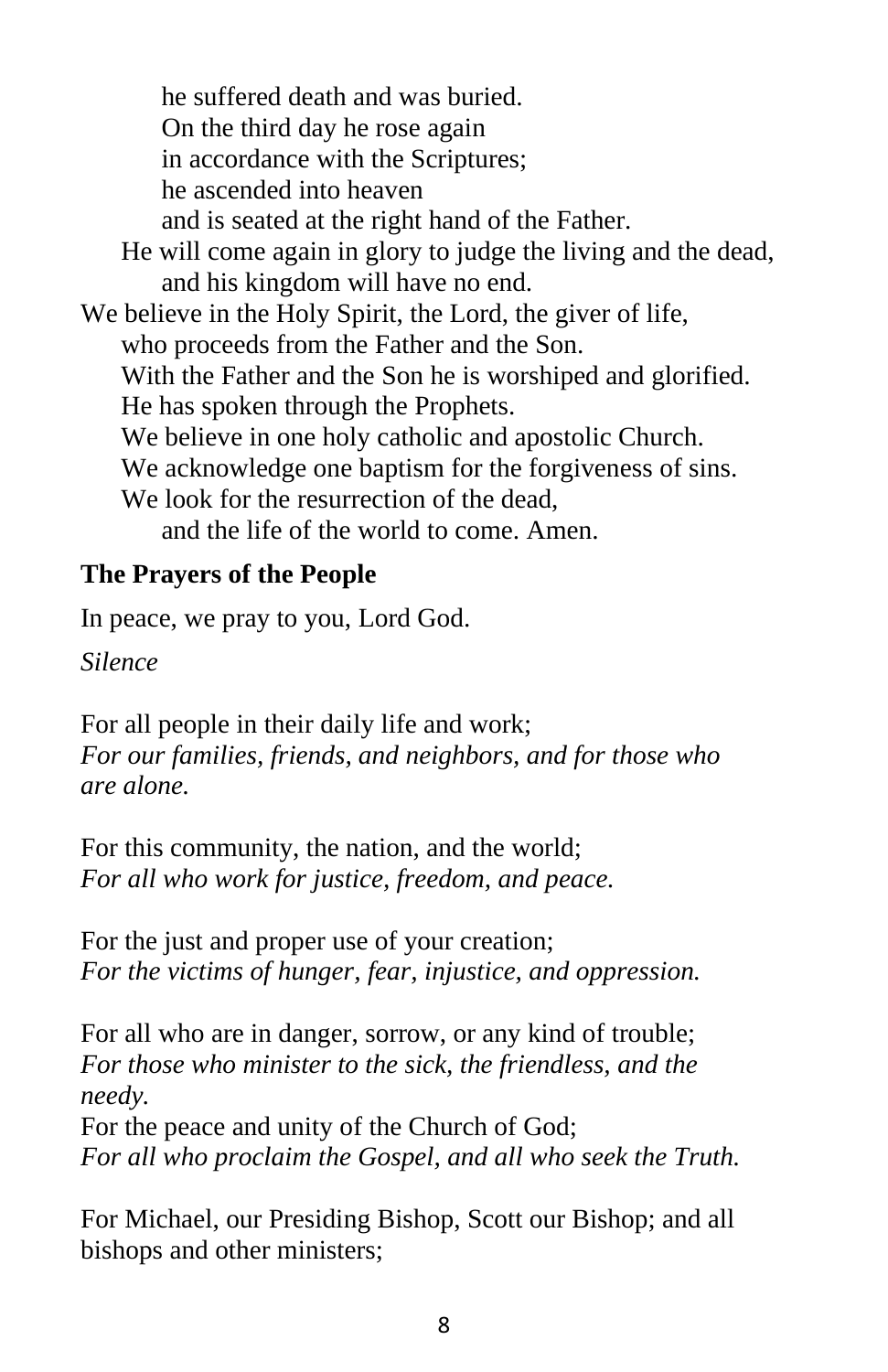he suffered death and was buried. On the third day he rose again in accordance with the Scriptures; he ascended into heaven and is seated at the right hand of the Father. He will come again in glory to judge the living and the dead, and his kingdom will have no end. We believe in the Holy Spirit, the Lord, the giver of life, who proceeds from the Father and the Son. With the Father and the Son he is worshiped and glorified. He has spoken through the Prophets. We believe in one holy catholic and apostolic Church. We acknowledge one baptism for the forgiveness of sins. We look for the resurrection of the dead. and the life of the world to come. Amen.

#### **The Prayers of the People**

In peace, we pray to you, Lord God.

*Silence*

For all people in their daily life and work; *For our families, friends, and neighbors, and for those who are alone.*

For this community, the nation, and the world; *For all who work for justice, freedom, and peace.*

For the just and proper use of your creation; *For the victims of hunger, fear, injustice, and oppression.*

For all who are in danger, sorrow, or any kind of trouble; *For those who minister to the sick, the friendless, and the needy.*

For the peace and unity of the Church of God; *For all who proclaim the Gospel, and all who seek the Truth.*

For Michael, our Presiding Bishop, Scott our Bishop; and all bishops and other ministers;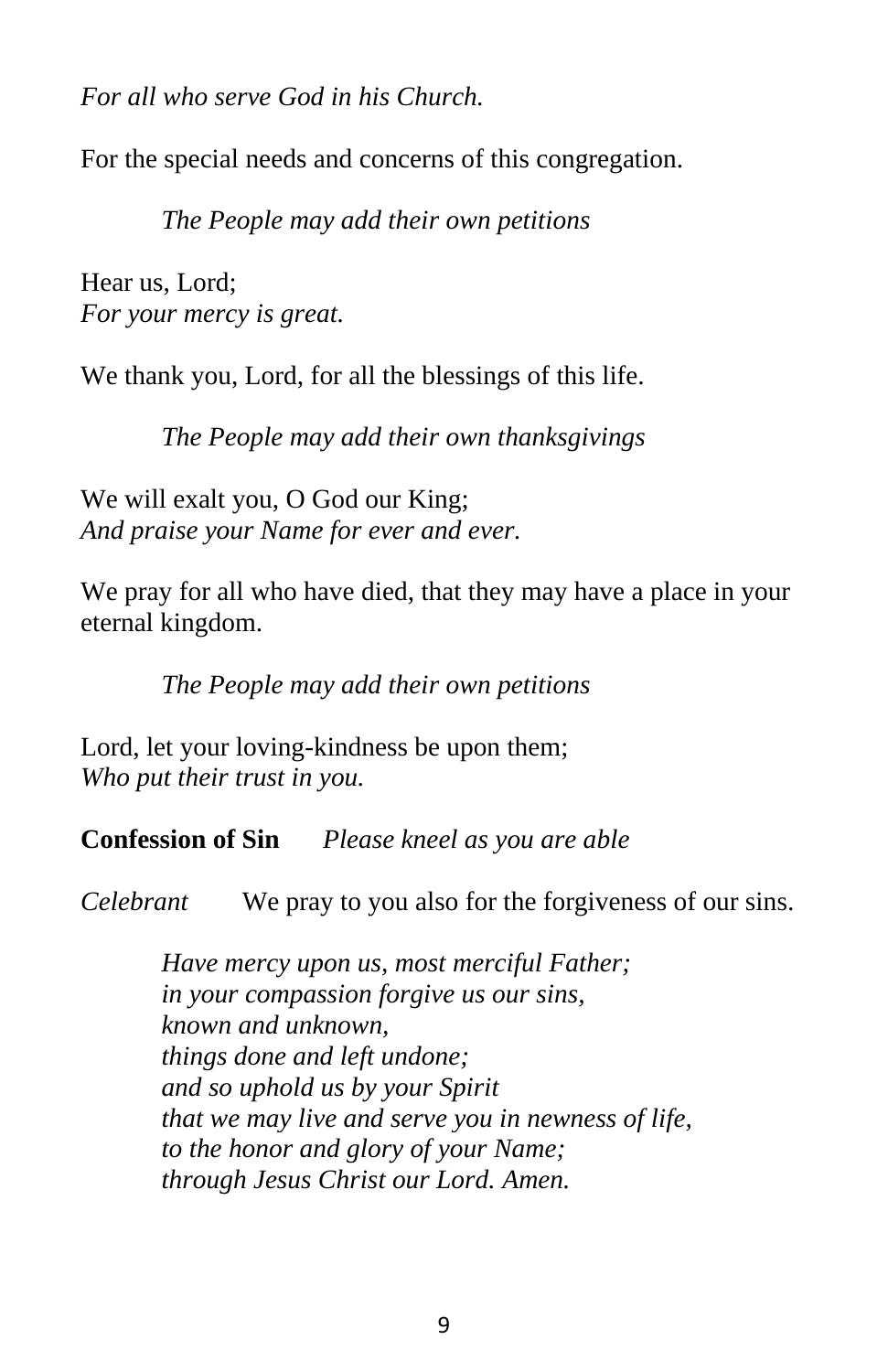*For all who serve God in his Church.*

For the special needs and concerns of this congregation.

*The People may add their own petitions*

Hear us, Lord; *For your mercy is great.*

We thank you, Lord, for all the blessings of this life.

*The People may add their own thanksgivings*

We will exalt you, O God our King; *And praise your Name for ever and ever.*

We pray for all who have died, that they may have a place in your eternal kingdom.

*The People may add their own petitions*

Lord, let your loving-kindness be upon them; *Who put their trust in you.*

**Confession of Sin** *Please kneel as you are able*

*Celebrant* We pray to you also for the forgiveness of our sins.

*Have mercy upon us, most merciful Father; in your compassion forgive us our sins, known and unknown, things done and left undone; and so uphold us by your Spirit that we may live and serve you in newness of life, to the honor and glory of your Name; through Jesus Christ our Lord. Amen.*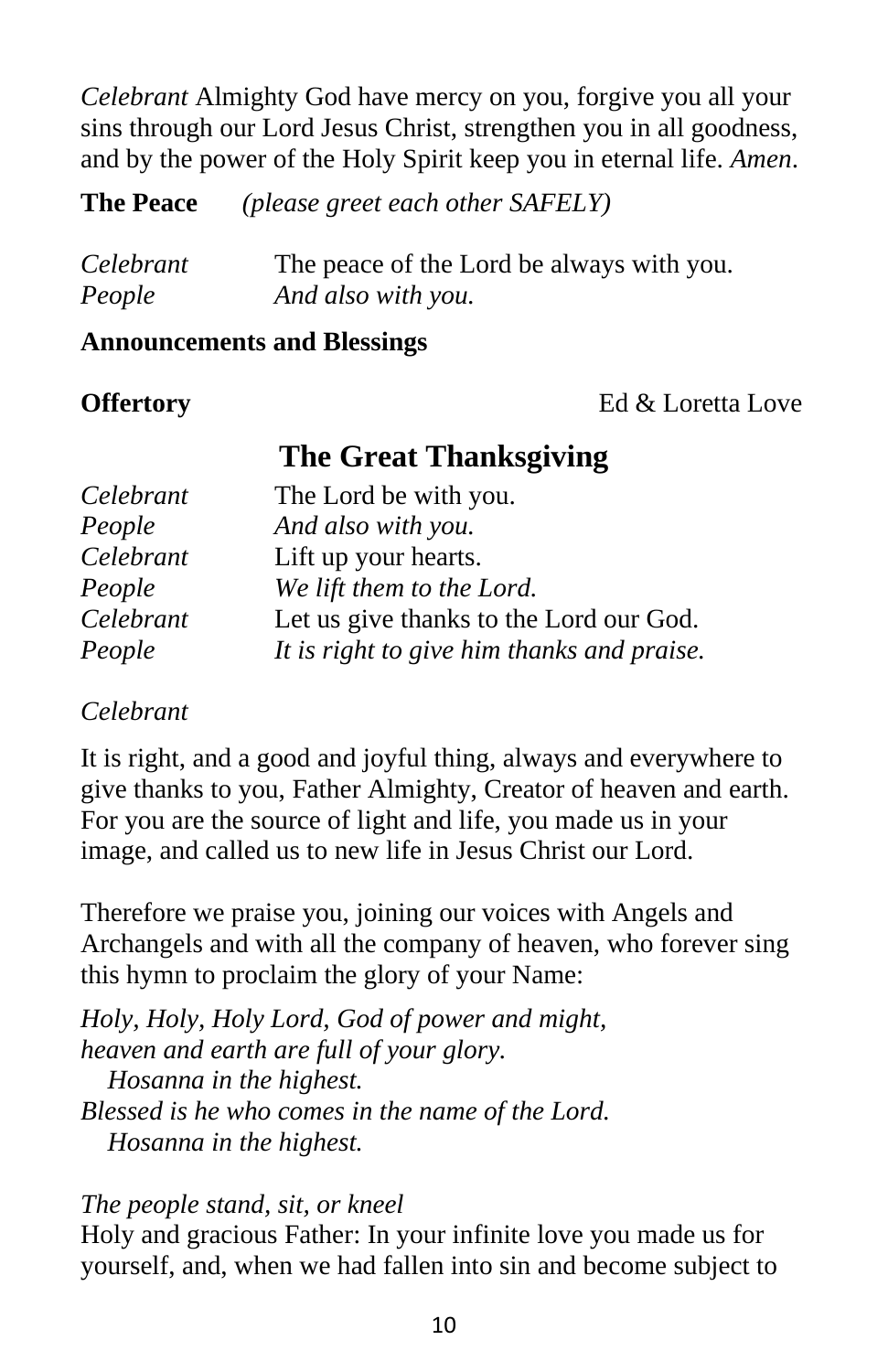*Celebrant* Almighty God have mercy on you, forgive you all your sins through our Lord Jesus Christ, strengthen you in all goodness, and by the power of the Holy Spirit keep you in eternal life. *Amen*.

**The Peace** *(please greet each other SAFELY)* 

| Celebrant | The peace of the Lord be always with you. |
|-----------|-------------------------------------------|
| People    | And also with you.                        |

#### **Announcements and Blessings**

**Offertory** Ed & Loretta Love

### **The Great Thanksgiving**

| Celebrant | The Lord be with you.                      |
|-----------|--------------------------------------------|
| People    | And also with you.                         |
| Celebrant | Lift up your hearts.                       |
| People    | We lift them to the Lord.                  |
| Celebrant | Let us give thanks to the Lord our God.    |
| People    | It is right to give him thanks and praise. |

#### *Celebrant*

It is right, and a good and joyful thing, always and everywhere to give thanks to you, Father Almighty, Creator of heaven and earth. For you are the source of light and life, you made us in your image, and called us to new life in Jesus Christ our Lord.

Therefore we praise you, joining our voices with Angels and Archangels and with all the company of heaven, who forever sing this hymn to proclaim the glory of your Name:

*Holy, Holy, Holy Lord, God of power and might, heaven and earth are full of your glory. Hosanna in the highest. Blessed is he who comes in the name of the Lord. Hosanna in the highest.*

#### *The people stand, sit, or kneel*

Holy and gracious Father: In your infinite love you made us for yourself, and, when we had fallen into sin and become subject to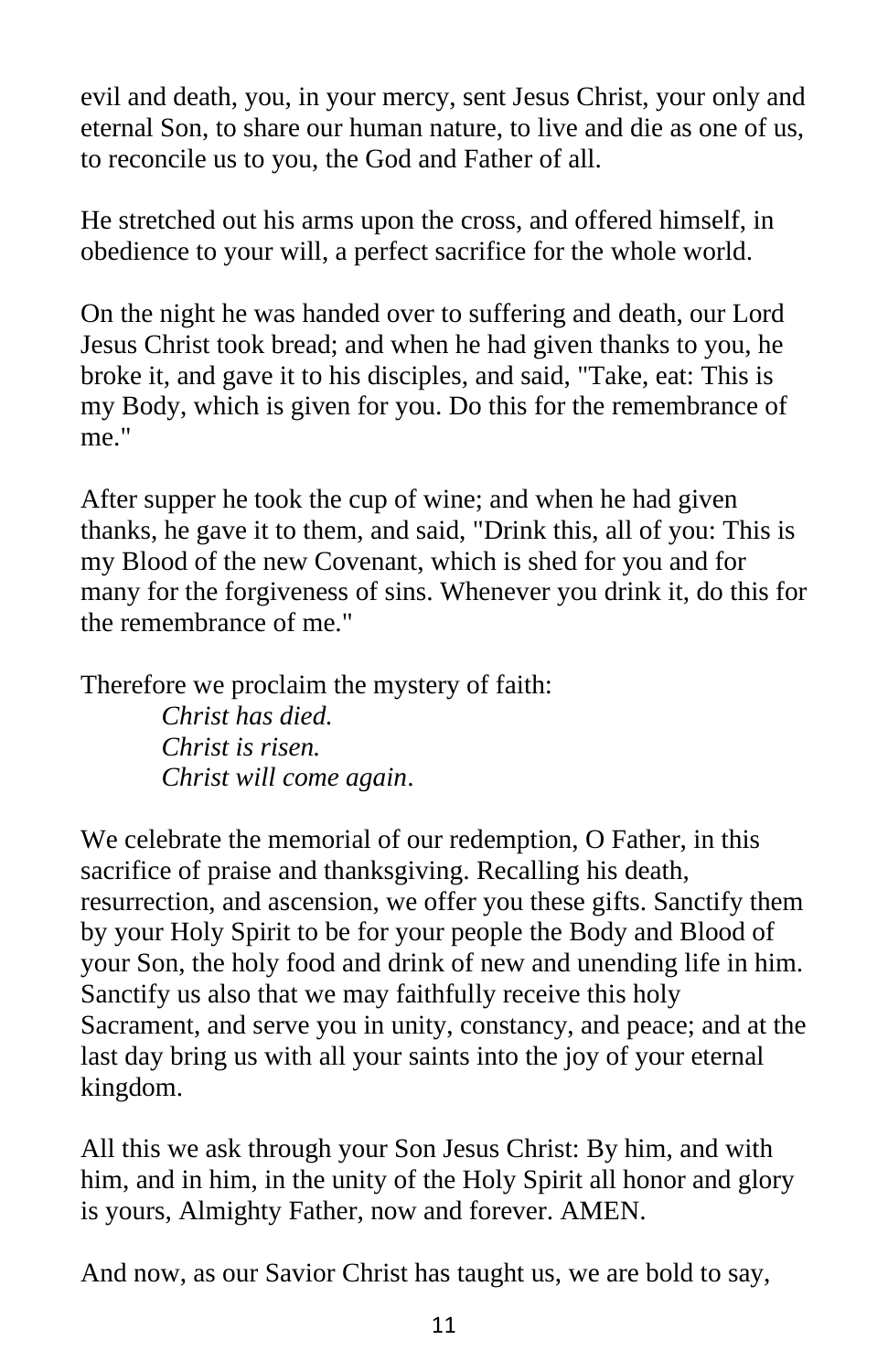evil and death, you, in your mercy, sent Jesus Christ, your only and eternal Son, to share our human nature, to live and die as one of us, to reconcile us to you, the God and Father of all.

He stretched out his arms upon the cross, and offered himself, in obedience to your will, a perfect sacrifice for the whole world.

On the night he was handed over to suffering and death, our Lord Jesus Christ took bread; and when he had given thanks to you, he broke it, and gave it to his disciples, and said, "Take, eat: This is my Body, which is given for you. Do this for the remembrance of me."

After supper he took the cup of wine; and when he had given thanks, he gave it to them, and said, "Drink this, all of you: This is my Blood of the new Covenant, which is shed for you and for many for the forgiveness of sins. Whenever you drink it, do this for the remembrance of me."

Therefore we proclaim the mystery of faith: *Christ has died. Christ is risen. Christ will come again*.

We celebrate the memorial of our redemption, O Father, in this sacrifice of praise and thanksgiving. Recalling his death, resurrection, and ascension, we offer you these gifts. Sanctify them by your Holy Spirit to be for your people the Body and Blood of your Son, the holy food and drink of new and unending life in him. Sanctify us also that we may faithfully receive this holy Sacrament, and serve you in unity, constancy, and peace; and at the last day bring us with all your saints into the joy of your eternal kingdom.

All this we ask through your Son Jesus Christ: By him, and with him, and in him, in the unity of the Holy Spirit all honor and glory is yours, Almighty Father, now and forever. AMEN.

And now, as our Savior Christ has taught us, we are bold to say,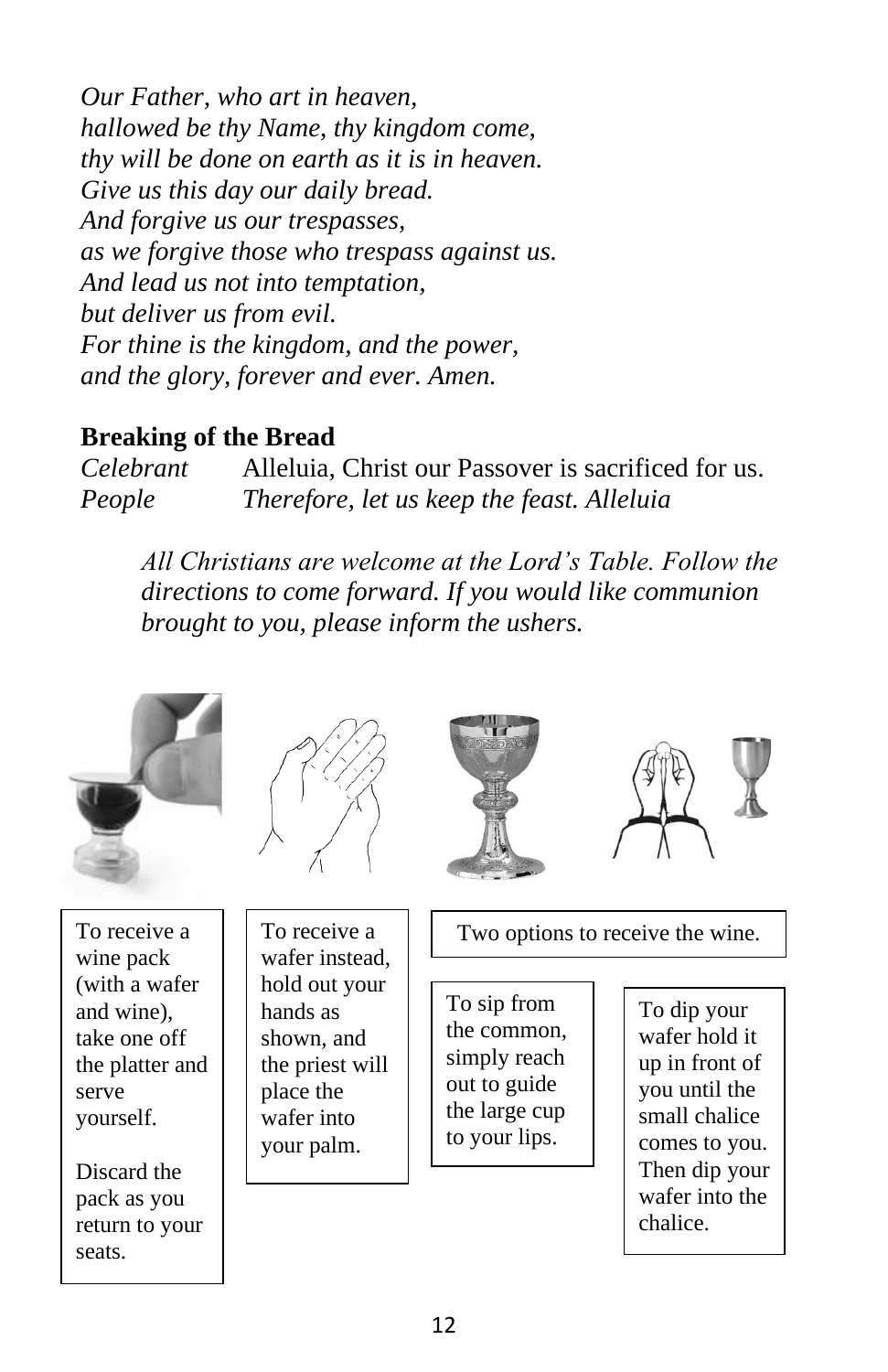*Our Father, who art in heaven, hallowed be thy Name, thy kingdom come, thy will be done on earth as it is in heaven. Give us this day our daily bread. And forgive us our trespasses, as we forgive those who trespass against us. And lead us not into temptation, but deliver us from evil. For thine is the kingdom, and the power, and the glory, forever and ever. Amen.*

#### **Breaking of the Bread**

*Celebrant* Alleluia, Christ our Passover is sacrificed for us. *People Therefore, let us keep the feast. Alleluia* 

*All Christians are welcome at the Lord's Table. Follow the directions to come forward. If you would like communion brought to you, please inform the ushers.* 









To receive a wine pack (with a wafer and wine), take one off the platter and serve yourself.

Discard the pack as you return to your seats.

To receive a wafer instead, hold out your hands as shown, and the priest will place the wafer into your palm.

Two options to receive the wine.

To sip from the common, simply reach out to guide the large cup to your lips.

To dip your wafer hold it up in front of you until the small chalice comes to you. Then dip your wafer into the chalice.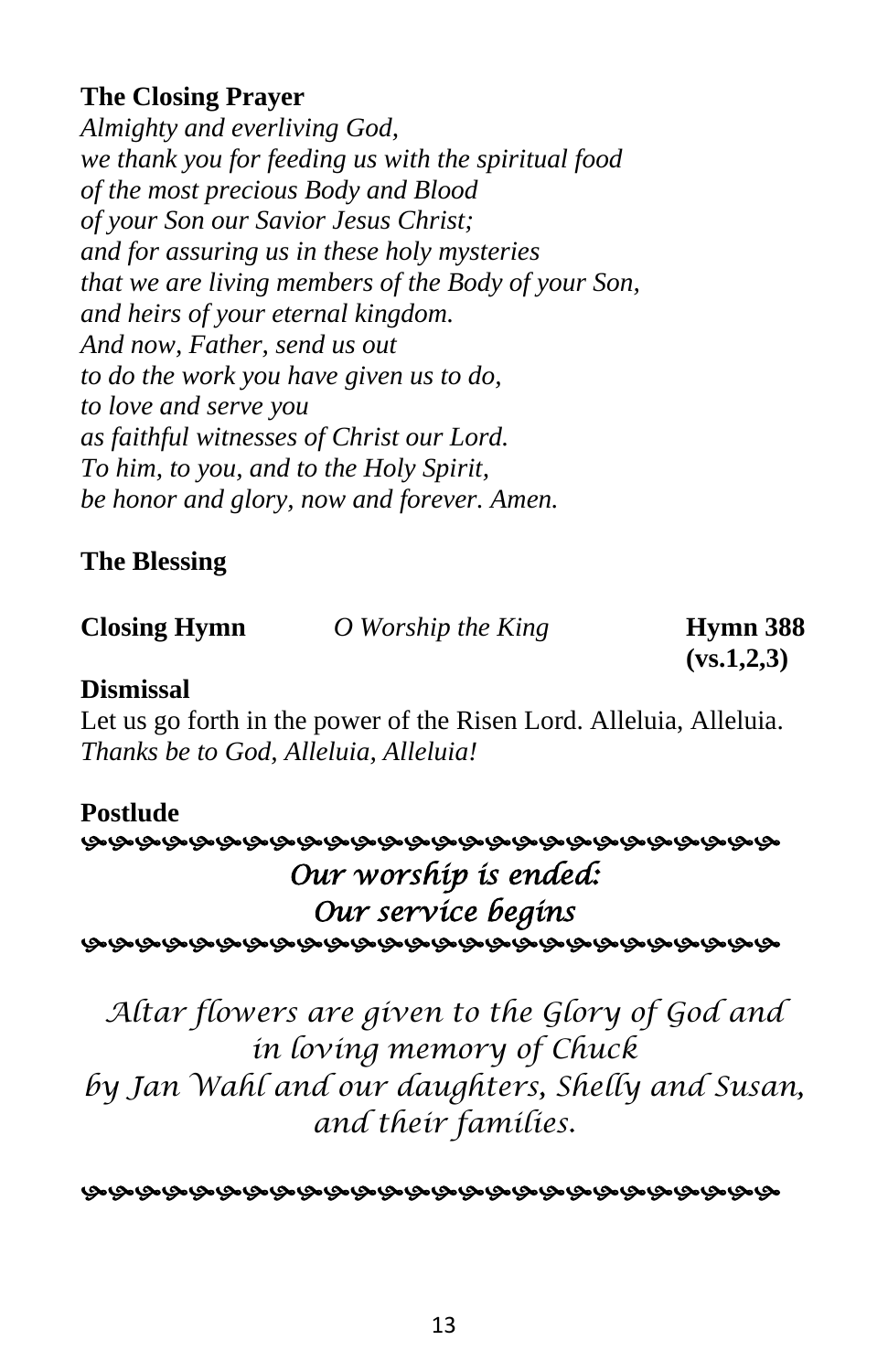#### **The Closing Prayer**

*Almighty and everliving God, we thank you for feeding us with the spiritual food of the most precious Body and Blood of your Son our Savior Jesus Christ; and for assuring us in these holy mysteries that we are living members of the Body of your Son, and heirs of your eternal kingdom. And now, Father, send us out to do the work you have given us to do, to love and serve you as faithful witnesses of Christ our Lord. To him, to you, and to the Holy Spirit, be honor and glory, now and forever. Amen.*

#### **The Blessing**

**Closing Hymn** *O Worship the King* **Hymn 388** 

**(vs.1,2,3)**

#### **Dismissal**

Let us go forth in the power of the Risen Lord. Alleluia, Alleluia. *Thanks be to God, Alleluia, Alleluia!*

#### **Postlude**

#### *Our worship is ended: Our service begins*

*Altar flowers are given to the Glory of God and in loving memory of Chuck by Jan Wahl and our daughters, Shelly and Susan, and their families.*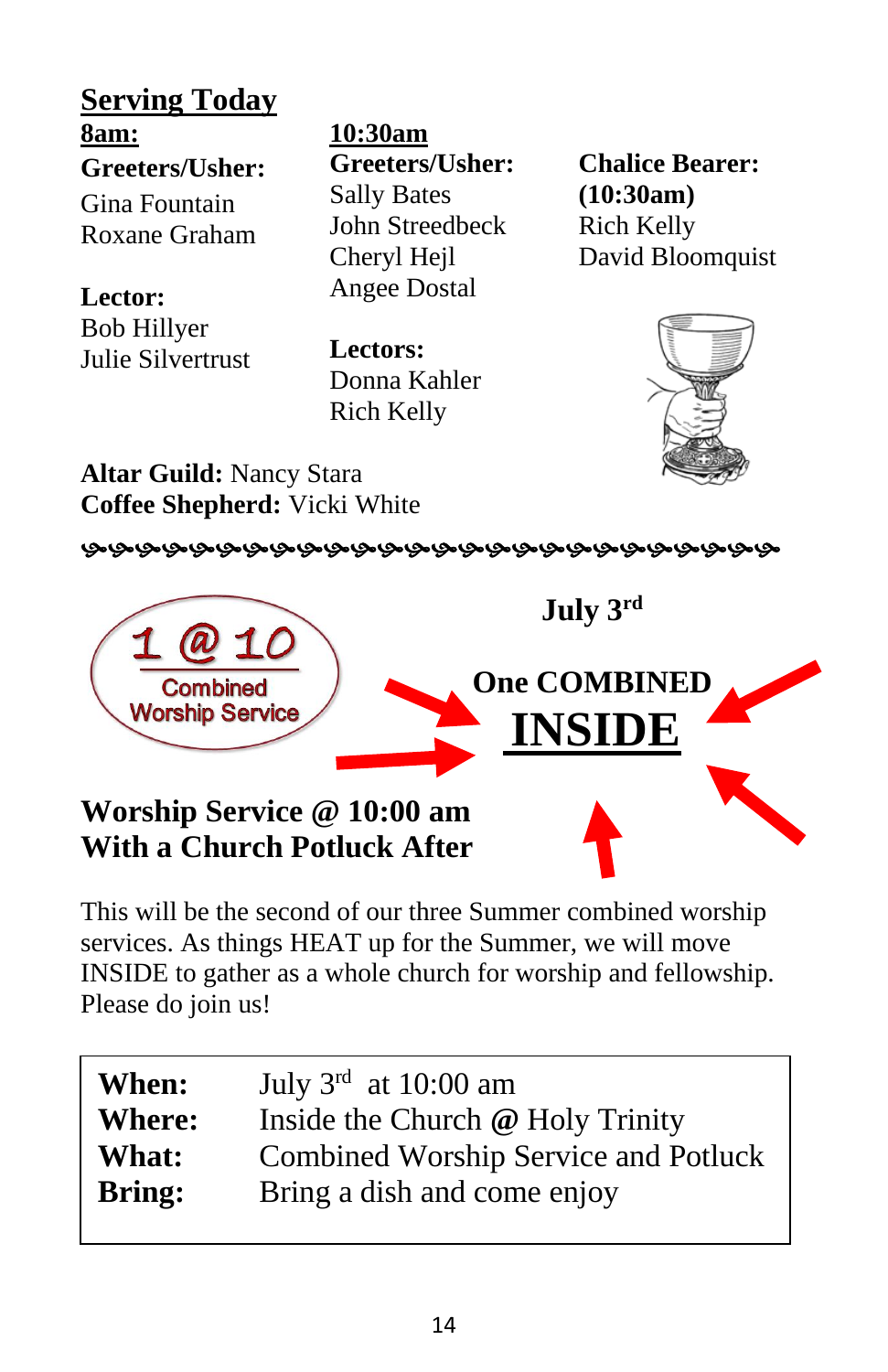**Serving Today 8am: Greeters/Usher:** Gina Fountain

Roxane Graham

**Lector:** Bob Hillyer Julie Silvertrust

**10:30am Greeters/Usher:** Sally Bates John Streedbeck Cheryl Hejl Angee Dostal

**Lectors:** Donna Kahler Rich Kelly

**Chalice Bearer: (10:30am)** Rich Kelly David Bloomquist



**Altar Guild:** Nancy Stara **Coffee Shepherd:** Vicki White



**Worship Service @ 10:00 am With a Church Potluck After**

This will be the second of our three Summer combined worship services. As things HEAT up for the Summer, we will move INSIDE to gather as a whole church for worship and fellowship. Please do join us!

| When:         | July $3rd$ at 10:00 am                      |
|---------------|---------------------------------------------|
| <b>Where:</b> | Inside the Church @ Holy Trinity            |
| What:         | <b>Combined Worship Service and Potluck</b> |
| <b>Bring:</b> | Bring a dish and come enjoy                 |
|               |                                             |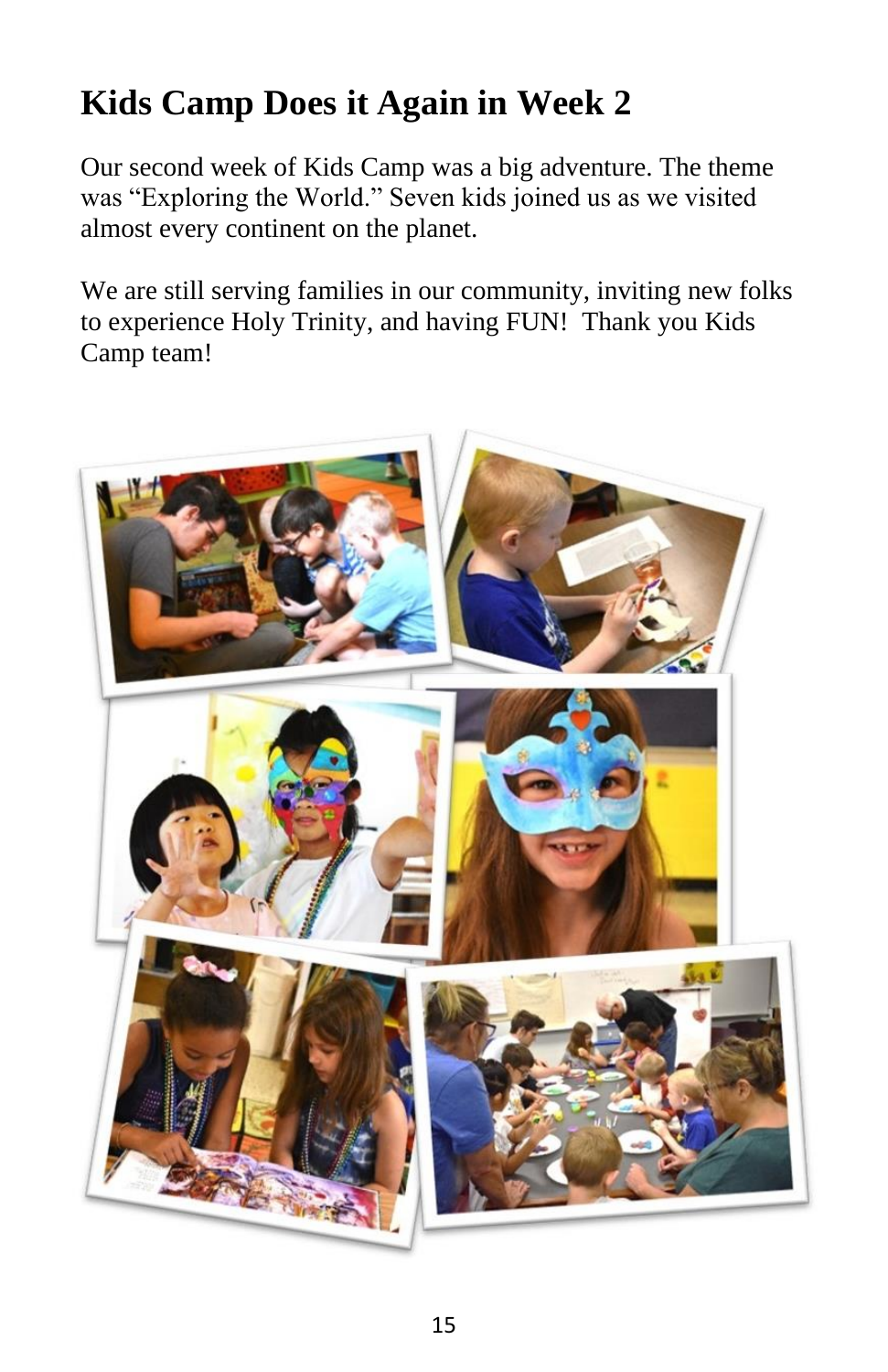## **Kids Camp Does it Again in Week 2**

Our second week of Kids Camp was a big adventure. The theme was "Exploring the World." Seven kids joined us as we visited almost every continent on the planet.

We are still serving families in our community, inviting new folks to experience Holy Trinity, and having FUN! Thank you Kids Camp team!

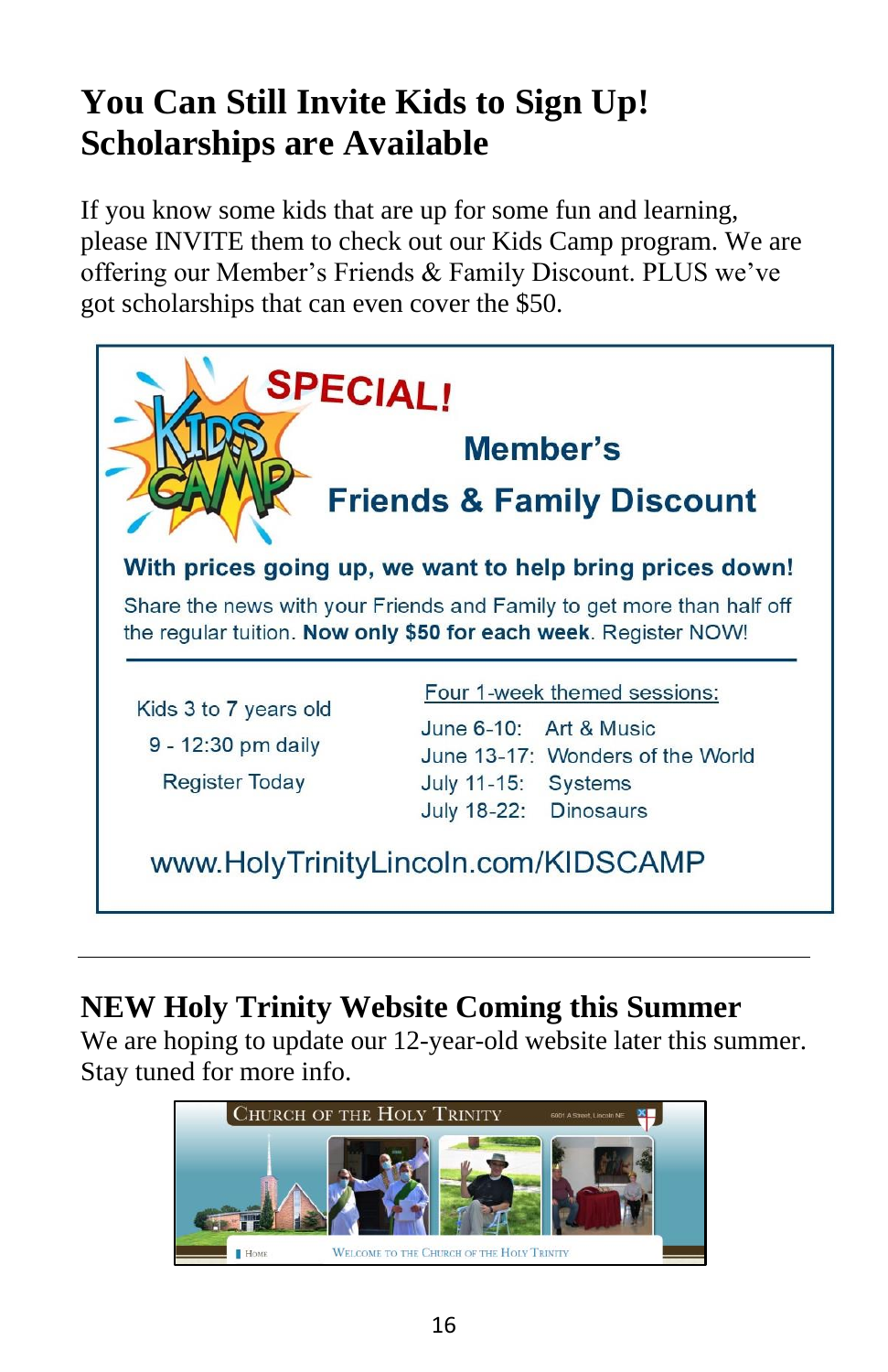## **You Can Still Invite Kids to Sign Up! Scholarships are Available**

If you know some kids that are up for some fun and learning, please INVITE them to check out our Kids Camp program. We are offering our Member's Friends & Family Discount. PLUS we've got scholarships that can even cover the \$50.



## **NEW Holy Trinity Website Coming this Summer**

We are hoping to update our 12-year-old website later this summer. Stay tuned for more info.

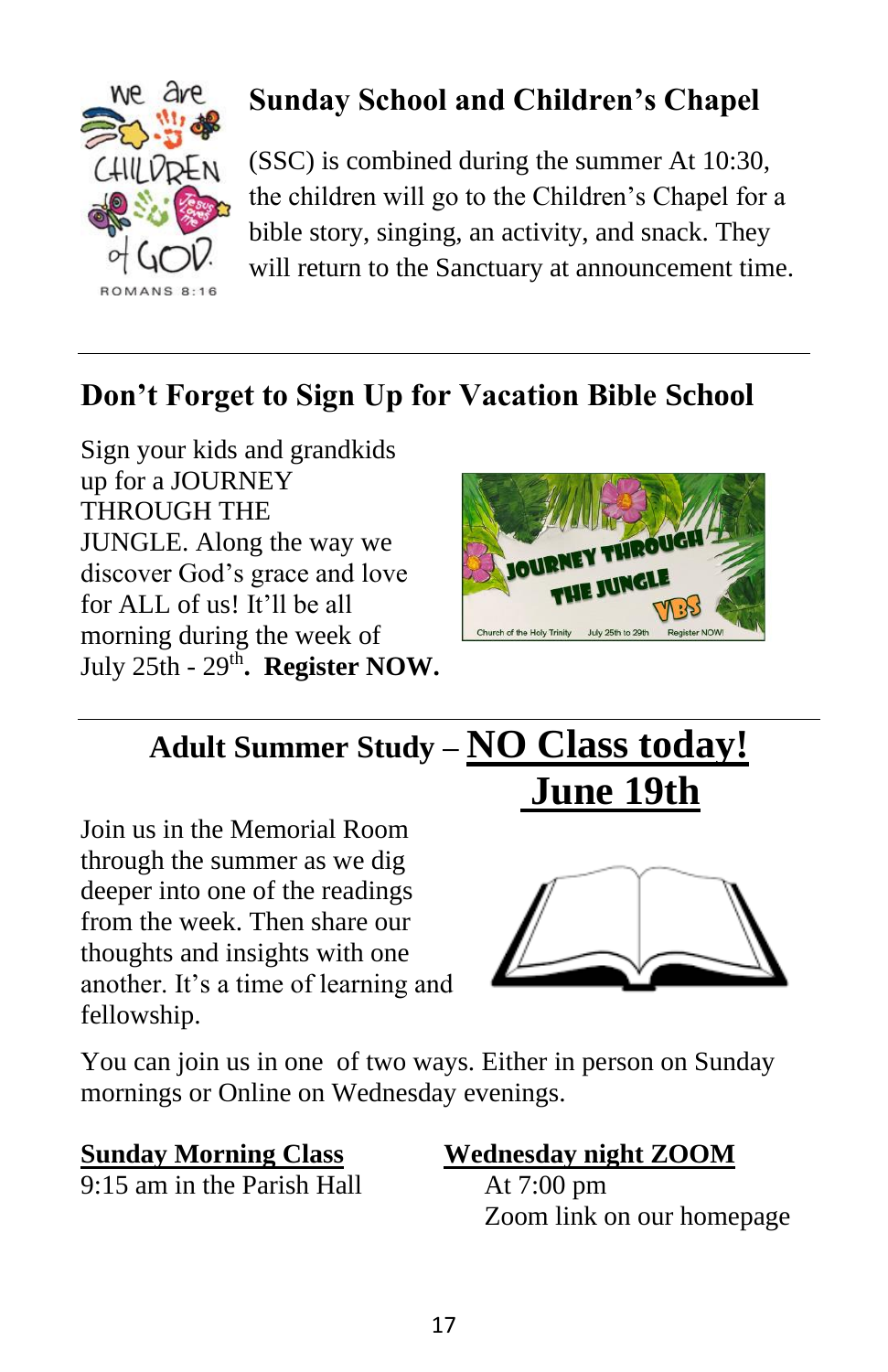

## **Sunday School and Children's Chapel**

(SSC) is combined during the summer At 10:30, the children will go to the Children's Chapel for a bible story, singing, an activity, and snack. They will return to the Sanctuary at announcement time.

## **Don't Forget to Sign Up for Vacation Bible School**





## **Adult Summer Study – NO Class today! June 19th**

Join us in the Memorial Room through the summer as we dig deeper into one of the readings from the week. Then share our thoughts and insights with one another. It's a time of learning and fellowship.



You can join us in one of two ways. Either in person on Sunday mornings or Online on Wednesday evenings.

9:15 am in the Parish Hall At 7:00 pm

# **Sunday Morning Class Wednesday night ZOOM**

Zoom link on our homepage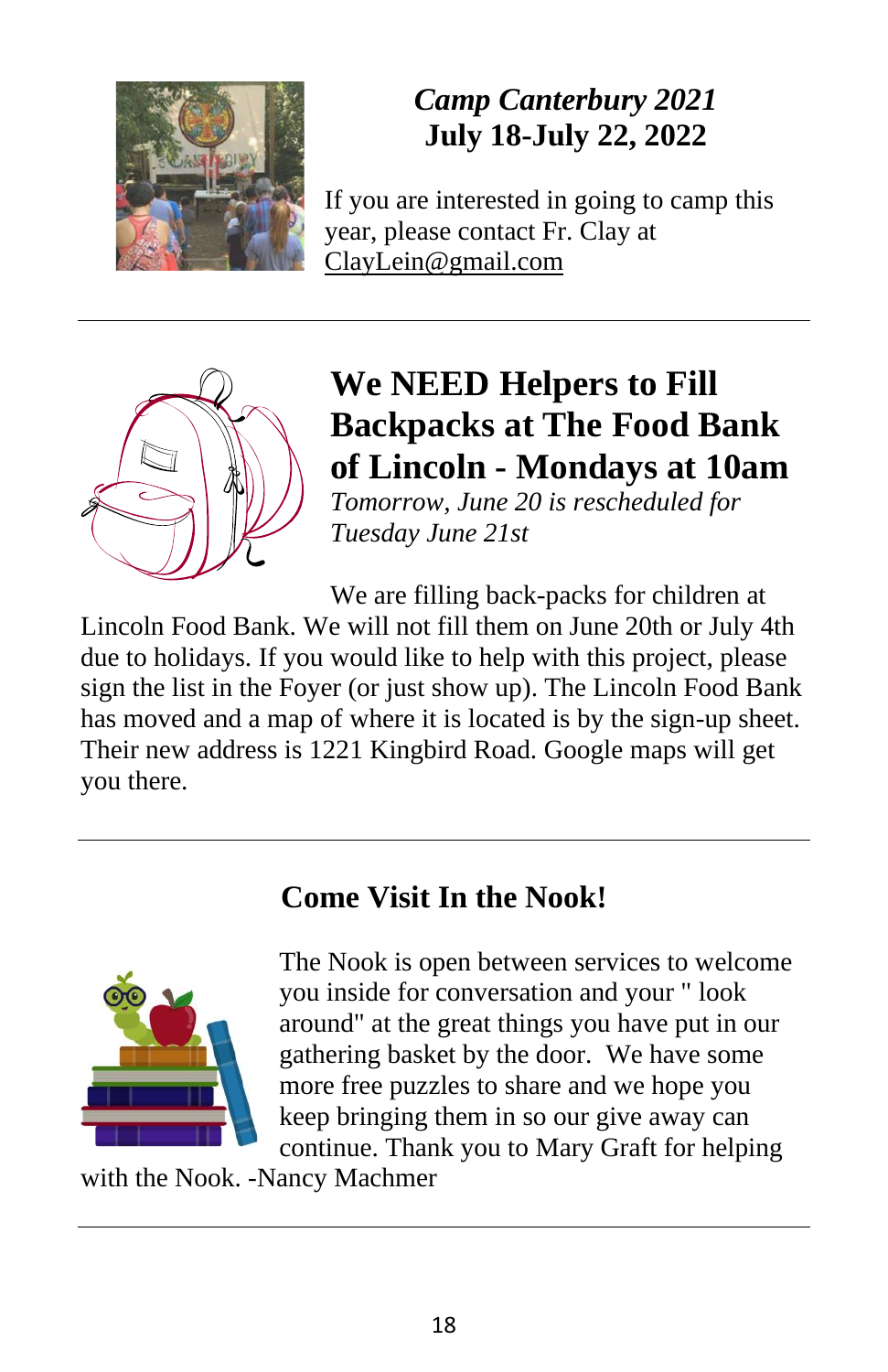

## *Camp Canterbury 2021* **July 18-July 22, 2022**

If you are interested in going to camp this year, please contact Fr. Clay at [ClayLein@gmail.com](mailto:ClayLein@gmail.com)



## **We NEED Helpers to Fill Backpacks at The Food Bank of Lincoln - Mondays at 10am**

*Tomorrow, June 20 is rescheduled for Tuesday June 21st*

We are filling back-packs for children at

Lincoln Food Bank. We will not fill them on June 20th or July 4th due to holidays. If you would like to help with this project, please sign the list in the Foyer (or just show up). The Lincoln Food Bank has moved and a map of where it is located is by the sign-up sheet. Their new address is 1221 Kingbird Road. Google maps will get you there.

### **Come Visit In the Nook!**



The Nook is open between services to welcome you inside for conversation and your " look around" at the great things you have put in our gathering basket by the door. We have some more free puzzles to share and we hope you keep bringing them in so our give away can continue. Thank you to Mary Graft for helping

with the Nook. -Nancy Machmer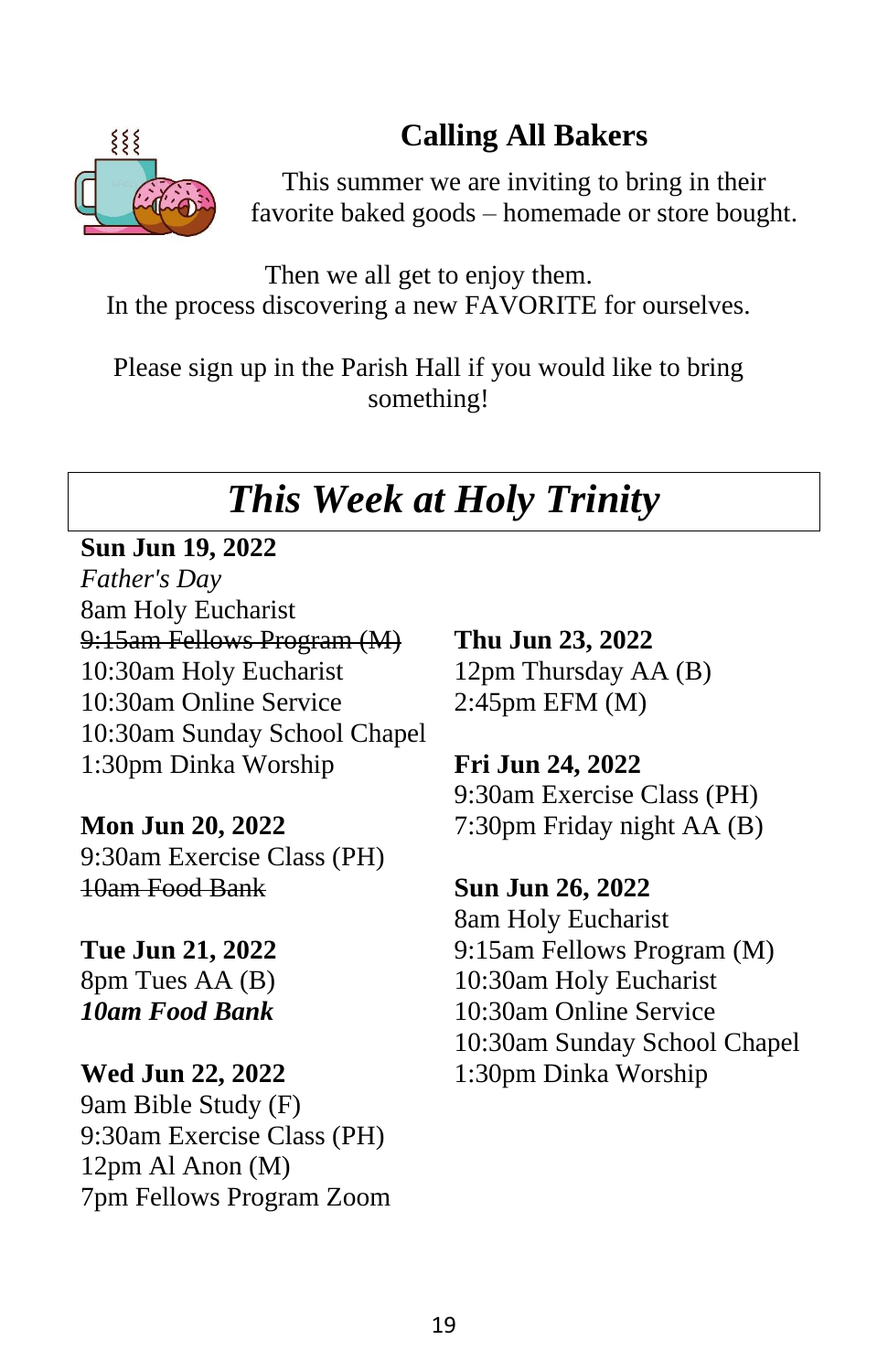### 19

### **Calling All Bakers**



This summer we are inviting to bring in their favorite baked goods – homemade or store bought.

Then we all get to enjoy them. In the process discovering a new FAVORITE for ourselves.

Please sign up in the Parish Hall if you would like to bring something!

## *This Week at Holy Trinity*

**Sun Jun 19, 2022**

*Father's Day* 8am Holy Eucharist 9:15am Fellows Program (M) 10:30am Holy Eucharist 10:30am Online Service 10:30am Sunday School Chapel 1:30pm Dinka Worship

**Mon Jun 20, 2022** 9:30am Exercise Class (PH) 10am Food Bank

**Tue Jun 21, 2022** 8pm Tues AA (B) *10am Food Bank*

**Wed Jun 22, 2022** 9am Bible Study (F) 9:30am Exercise Class (PH) 12pm Al Anon (M) 7pm Fellows Program Zoom

**Thu Jun 23, 2022** 12pm Thursday AA (B) 2:45pm EFM (M)

**Fri Jun 24, 2022** 9:30am Exercise Class (PH) 7:30pm Friday night AA (B)

**Sun Jun 26, 2022** 8am Holy Eucharist 9:15am Fellows Program (M) 10:30am Holy Eucharist 10:30am Online Service 10:30am Sunday School Chapel 1:30pm Dinka Worship